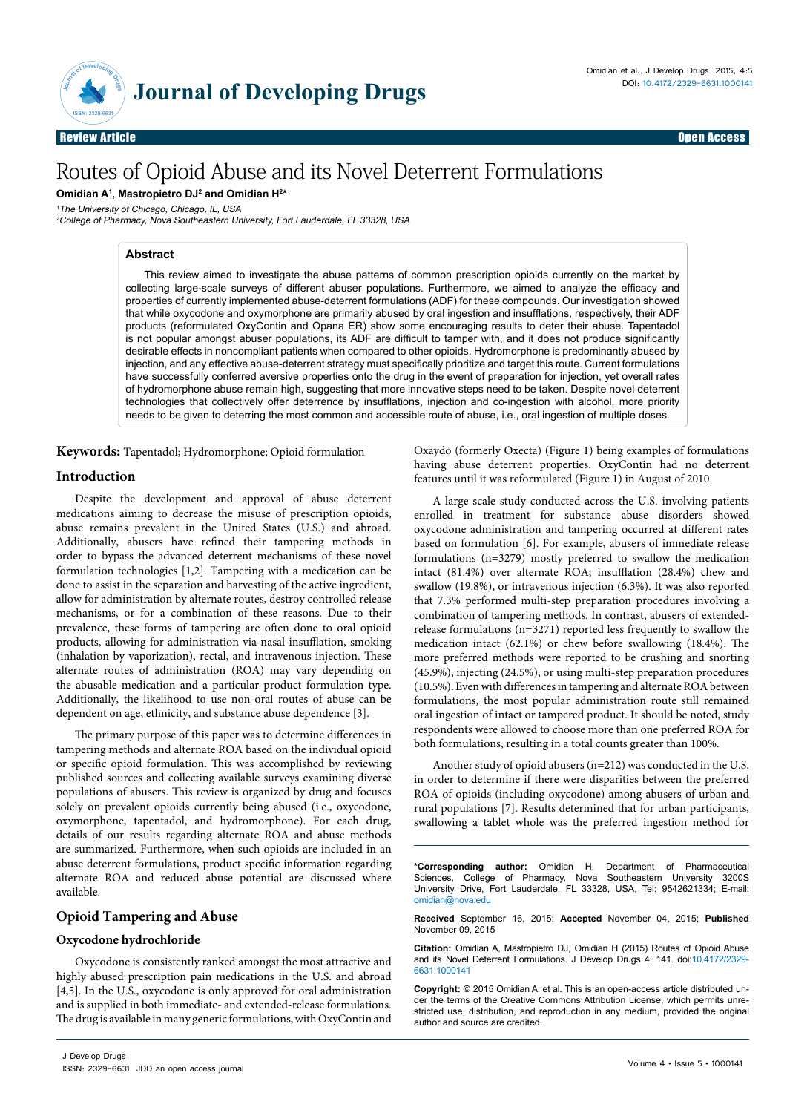

Review Article Open Access

# Routes of Opioid Abuse and its Novel Deterrent Formulations

**Omidian A1 , Mastropietro DJ2 and Omidian H2 \***

<sup>1</sup>The University of Chicago, Chicago, IL, USA

<sup>2</sup>College of Pharmacy, Nova Southeastern University, Fort Lauderdale, FL 33328, USA

# **Abstract**

This review aimed to investigate the abuse patterns of common prescription opioids currently on the market by collecting large-scale surveys of different abuser populations. Furthermore, we aimed to analyze the efficacy and properties of currently implemented abuse-deterrent formulations (ADF) for these compounds. Our investigation showed that while oxycodone and oxymorphone are primarily abused by oral ingestion and insufflations, respectively, their ADF products (reformulated OxyContin and Opana ER) show some encouraging results to deter their abuse. Tapentadol is not popular amongst abuser populations, its ADF are difficult to tamper with, and it does not produce significantly desirable effects in noncompliant patients when compared to other opioids. Hydromorphone is predominantly abused by injection, and any effective abuse-deterrent strategy must specifically prioritize and target this route. Current formulations have successfully conferred aversive properties onto the drug in the event of preparation for injection, yet overall rates of hydromorphone abuse remain high, suggesting that more innovative steps need to be taken. Despite novel deterrent technologies that collectively offer deterrence by insufflations, injection and co-ingestion with alcohol, more priority needs to be given to deterring the most common and accessible route of abuse, i.e., oral ingestion of multiple doses.

**Keywords:** Tapentadol; Hydromorphone; Opioid formulation

### **Introduction**

Despite the development and approval of abuse deterrent medications aiming to decrease the misuse of prescription opioids, abuse remains prevalent in the United States (U.S.) and abroad. Additionally, abusers have refined their tampering methods in order to bypass the advanced deterrent mechanisms of these novel formulation technologies [1,2]. Tampering with a medication can be done to assist in the separation and harvesting of the active ingredient, allow for administration by alternate routes, destroy controlled release mechanisms, or for a combination of these reasons. Due to their prevalence, these forms of tampering are often done to oral opioid products, allowing for administration via nasal insufflation, smoking (inhalation by vaporization), rectal, and intravenous injection. These alternate routes of administration (ROA) may vary depending on the abusable medication and a particular product formulation type. Additionally, the likelihood to use non-oral routes of abuse can be dependent on age, ethnicity, and substance abuse dependence [3].

The primary purpose of this paper was to determine differences in tampering methods and alternate ROA based on the individual opioid or specific opioid formulation. This was accomplished by reviewing published sources and collecting available surveys examining diverse populations of abusers. This review is organized by drug and focuses solely on prevalent opioids currently being abused (i.e., oxycodone, oxymorphone, tapentadol, and hydromorphone). For each drug, details of our results regarding alternate ROA and abuse methods are summarized. Furthermore, when such opioids are included in an abuse deterrent formulations, product specific information regarding alternate ROA and reduced abuse potential are discussed where available.

## **Opioid Tampering and Abuse**

#### **Oxycodone hydrochloride**

Oxycodone is consistently ranked amongst the most attractive and highly abused prescription pain medications in the U.S. and abroad [4,5]. In the U.S., oxycodone is only approved for oral administration and is supplied in both immediate- and extended-release formulations. The drug is available in many generic formulations, with OxyContin and

Oxaydo (formerly Oxecta) (Figure 1) being examples of formulations having abuse deterrent properties. OxyContin had no deterrent features until it was reformulated (Figure 1) in August of 2010.

A large scale study conducted across the U.S. involving patients enrolled in treatment for substance abuse disorders showed oxycodone administration and tampering occurred at different rates based on formulation [6]. For example, abusers of immediate release formulations (n=3279) mostly preferred to swallow the medication intact (81.4%) over alternate ROA; insufflation (28.4%) chew and swallow (19.8%), or intravenous injection (6.3%). It was also reported that 7.3% performed multi-step preparation procedures involving a combination of tampering methods. In contrast, abusers of extendedrelease formulations (n=3271) reported less frequently to swallow the medication intact (62.1%) or chew before swallowing (18.4%). The more preferred methods were reported to be crushing and snorting (45.9%), injecting (24.5%), or using multi-step preparation procedures (10.5%). Even with differences in tampering and alternate ROA between formulations, the most popular administration route still remained oral ingestion of intact or tampered product. It should be noted, study respondents were allowed to choose more than one preferred ROA for both formulations, resulting in a total counts greater than 100%.

Another study of opioid abusers (n=212) was conducted in the U.S. in order to determine if there were disparities between the preferred ROA of opioids (including oxycodone) among abusers of urban and rural populations [7]. Results determined that for urban participants, swallowing a tablet whole was the preferred ingestion method for

**\*Corresponding author:** Omidian H, Department of Pharmaceutical Sciences, College of Pharmacy, Nova Southeastern University 3200S University Drive, Fort Lauderdale, FL 33328, USA, Tel: 9542621334; E-mail: omidian@nova.edu

**Received** September 16, 2015; **Accepted** November 04, 2015; **Published** November 09, 2015

**Citation:** Omidian A, Mastropietro DJ, Omidian H (2015) Routes of Opioid Abuse and its Novel Deterrent Formulations. J Develop Drugs 4: 141. doi:10.4172/2329- 6631.1000141

**Copyright:** © 2015 Omidian A, et al. This is an open-access article distributed under the terms of the Creative Commons Attribution License, which permits unrestricted use, distribution, and reproduction in any medium, provided the original author and source are credited.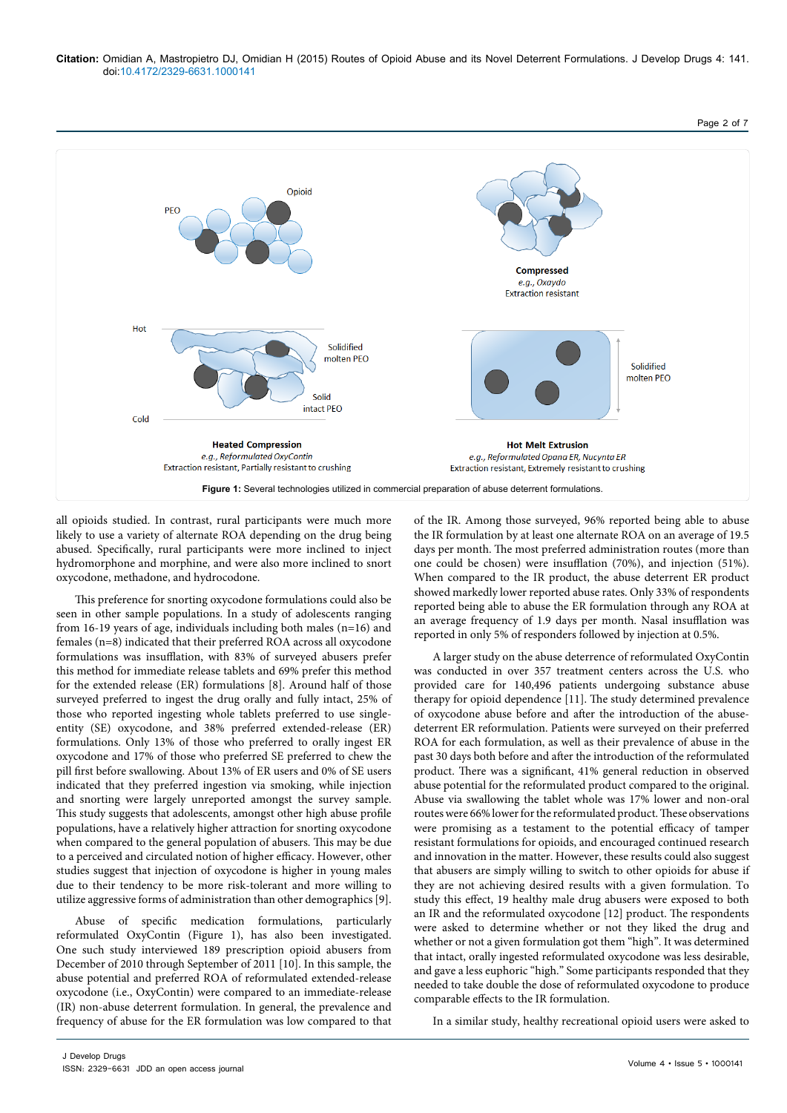



all opioids studied. In contrast, rural participants were much more likely to use a variety of alternate ROA depending on the drug being abused. Specifically, rural participants were more inclined to inject hydromorphone and morphine, and were also more inclined to snort oxycodone, methadone, and hydrocodone.

This preference for snorting oxycodone formulations could also be seen in other sample populations. In a study of adolescents ranging from 16-19 years of age, individuals including both males (n=16) and females (n=8) indicated that their preferred ROA across all oxycodone formulations was insufflation, with 83% of surveyed abusers prefer this method for immediate release tablets and 69% prefer this method for the extended release (ER) formulations [8]. Around half of those surveyed preferred to ingest the drug orally and fully intact, 25% of those who reported ingesting whole tablets preferred to use singleentity (SE) oxycodone, and 38% preferred extended-release (ER) formulations. Only 13% of those who preferred to orally ingest ER oxycodone and 17% of those who preferred SE preferred to chew the pill first before swallowing. About 13% of ER users and 0% of SE users indicated that they preferred ingestion via smoking, while injection and snorting were largely unreported amongst the survey sample. This study suggests that adolescents, amongst other high abuse profile populations, have a relatively higher attraction for snorting oxycodone when compared to the general population of abusers. This may be due to a perceived and circulated notion of higher efficacy. However, other studies suggest that injection of oxycodone is higher in young males due to their tendency to be more risk-tolerant and more willing to utilize aggressive forms of administration than other demographics [9].

Abuse of specific medication formulations, particularly reformulated OxyContin (Figure 1), has also been investigated. One such study interviewed 189 prescription opioid abusers from December of 2010 through September of 2011 [10]. In this sample, the abuse potential and preferred ROA of reformulated extended-release oxycodone (i.e., OxyContin) were compared to an immediate-release (IR) non-abuse deterrent formulation. In general, the prevalence and frequency of abuse for the ER formulation was low compared to that

of the IR. Among those surveyed, 96% reported being able to abuse the IR formulation by at least one alternate ROA on an average of 19.5 days per month. The most preferred administration routes (more than one could be chosen) were insufflation (70%), and injection (51%). When compared to the IR product, the abuse deterrent ER product showed markedly lower reported abuse rates. Only 33% of respondents reported being able to abuse the ER formulation through any ROA at an average frequency of 1.9 days per month. Nasal insufflation was reported in only 5% of responders followed by injection at 0.5%.

A larger study on the abuse deterrence of reformulated OxyContin was conducted in over 357 treatment centers across the U.S. who provided care for 140,496 patients undergoing substance abuse therapy for opioid dependence [11]. The study determined prevalence of oxycodone abuse before and after the introduction of the abusedeterrent ER reformulation. Patients were surveyed on their preferred ROA for each formulation, as well as their prevalence of abuse in the past 30 days both before and after the introduction of the reformulated product. There was a significant, 41% general reduction in observed abuse potential for the reformulated product compared to the original. Abuse via swallowing the tablet whole was 17% lower and non-oral routes were 66% lower for the reformulated product. These observations were promising as a testament to the potential efficacy of tamper resistant formulations for opioids, and encouraged continued research and innovation in the matter. However, these results could also suggest that abusers are simply willing to switch to other opioids for abuse if they are not achieving desired results with a given formulation. To study this effect, 19 healthy male drug abusers were exposed to both an IR and the reformulated oxycodone [12] product. The respondents were asked to determine whether or not they liked the drug and whether or not a given formulation got them "high". It was determined that intact, orally ingested reformulated oxycodone was less desirable, and gave a less euphoric "high." Some participants responded that they needed to take double the dose of reformulated oxycodone to produce comparable effects to the IR formulation.

In a similar study, healthy recreational opioid users were asked to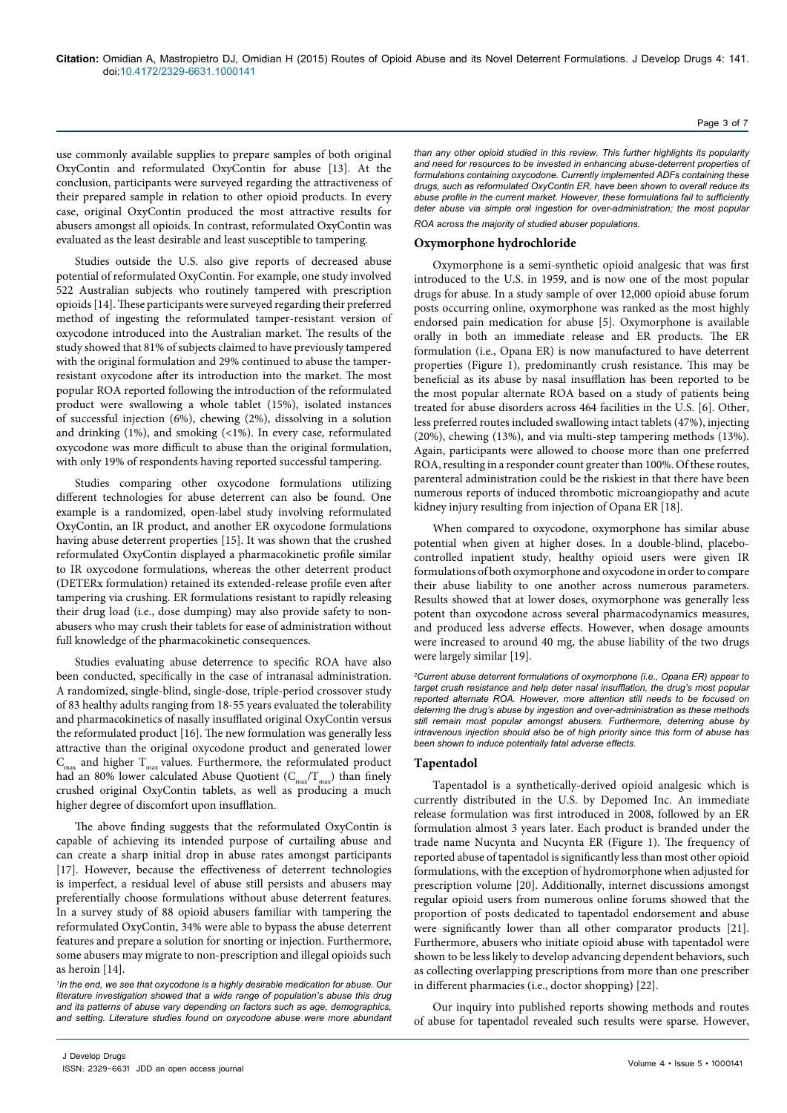use commonly available supplies to prepare samples of both original OxyContin and reformulated OxyContin for abuse [13]. At the conclusion, participants were surveyed regarding the attractiveness of their prepared sample in relation to other opioid products. In every case, original OxyContin produced the most attractive results for abusers amongst all opioids. In contrast, reformulated OxyContin was evaluated as the least desirable and least susceptible to tampering.

Studies outside the U.S. also give reports of decreased abuse potential of reformulated OxyContin. For example, one study involved 522 Australian subjects who routinely tampered with prescription opioids [14]. These participants were surveyed regarding their preferred method of ingesting the reformulated tamper-resistant version of oxycodone introduced into the Australian market. The results of the study showed that 81% of subjects claimed to have previously tampered with the original formulation and 29% continued to abuse the tamperresistant oxycodone after its introduction into the market. The most popular ROA reported following the introduction of the reformulated product were swallowing a whole tablet (15%), isolated instances of successful injection (6%), chewing (2%), dissolving in a solution and drinking (1%), and smoking (<1%). In every case, reformulated oxycodone was more difficult to abuse than the original formulation, with only 19% of respondents having reported successful tampering.

Studies comparing other oxycodone formulations utilizing different technologies for abuse deterrent can also be found. One example is a randomized, open-label study involving reformulated OxyContin, an IR product, and another ER oxycodone formulations having abuse deterrent properties [15]. It was shown that the crushed reformulated OxyContin displayed a pharmacokinetic profile similar to IR oxycodone formulations, whereas the other deterrent product (DETERx formulation) retained its extended-release profile even after tampering via crushing. ER formulations resistant to rapidly releasing their drug load (i.e., dose dumping) may also provide safety to nonabusers who may crush their tablets for ease of administration without full knowledge of the pharmacokinetic consequences.

Studies evaluating abuse deterrence to specific ROA have also been conducted, specifically in the case of intranasal administration. A randomized, single-blind, single-dose, triple-period crossover study of 83 healthy adults ranging from 18-55 years evaluated the tolerability and pharmacokinetics of nasally insufflated original OxyContin versus the reformulated product [16]. The new formulation was generally less attractive than the original oxycodone product and generated lower  $\text{C}_{\text{max}}$  and higher  $\text{T}_{\text{max}}$  values. Furthermore, the reformulated product had an 80% lower calculated Abuse Quotient  $(C_{\text{max}}/T_{\text{max}})$  than finely crushed original OxyContin tablets, as well as producing a much higher degree of discomfort upon insufflation.

The above finding suggests that the reformulated OxyContin is capable of achieving its intended purpose of curtailing abuse and can create a sharp initial drop in abuse rates amongst participants [17]. However, because the effectiveness of deterrent technologies is imperfect, a residual level of abuse still persists and abusers may preferentially choose formulations without abuse deterrent features. In a survey study of 88 opioid abusers familiar with tampering the reformulated OxyContin, 34% were able to bypass the abuse deterrent features and prepare a solution for snorting or injection. Furthermore, some abusers may migrate to non-prescription and illegal opioids such as heroin [14].

*1 In the end, we see that oxycodone is a highly desirable medication for abuse. Our literature investigation showed that a wide range of population's abuse this drug and its patterns of abuse vary depending on factors such as age, demographics, and setting. Literature studies found on oxycodone abuse were more abundant*  *than any other opioid studied in this review. This further highlights its popularity and need for resources to be invested in enhancing abuse-deterrent properties of formulations containing oxycodone. Currently implemented ADFs containing these drugs, such as reformulated OxyContin ER, have been shown to overall reduce its abuse profile in the current market. However, these formulations fail to sufficiently deter abuse via simple oral ingestion for over-administration; the most popular* 

*ROA across the majority of studied abuser populations.*

#### **Oxymorphone hydrochloride**

Oxymorphone is a semi-synthetic opioid analgesic that was first introduced to the U.S. in 1959, and is now one of the most popular drugs for abuse. In a study sample of over 12,000 opioid abuse forum posts occurring online, oxymorphone was ranked as the most highly endorsed pain medication for abuse [5]. Oxymorphone is available orally in both an immediate release and ER products. The ER formulation (i.e., Opana ER) is now manufactured to have deterrent properties (Figure 1), predominantly crush resistance. This may be beneficial as its abuse by nasal insufflation has been reported to be the most popular alternate ROA based on a study of patients being treated for abuse disorders across 464 facilities in the U.S. [6]. Other, less preferred routes included swallowing intact tablets (47%), injecting (20%), chewing (13%), and via multi-step tampering methods (13%). Again, participants were allowed to choose more than one preferred ROA, resulting in a responder count greater than 100%. Of these routes, parenteral administration could be the riskiest in that there have been numerous reports of induced thrombotic microangiopathy and acute kidney injury resulting from injection of Opana ER [18].

When compared to oxycodone, oxymorphone has similar abuse potential when given at higher doses. In a double-blind, placebocontrolled inpatient study, healthy opioid users were given IR formulations of both oxymorphone and oxycodone in order to compare their abuse liability to one another across numerous parameters. Results showed that at lower doses, oxymorphone was generally less potent than oxycodone across several pharmacodynamics measures, and produced less adverse effects. However, when dosage amounts were increased to around 40 mg, the abuse liability of the two drugs were largely similar [19].

*2 Current abuse deterrent formulations of oxymorphone (i.e., Opana ER) appear to target crush resistance and help deter nasal insufflation, the drug's most popular reported alternate ROA. However, more attention still needs to be focused on deterring the drug's abuse by ingestion and over-administration as these methods still remain most popular amongst abusers. Furthermore, deterring abuse by intravenous injection should also be of high priority since this form of abuse has been shown to induce potentially fatal adverse effects.*

#### **Tapentadol**

Tapentadol is a synthetically-derived opioid analgesic which is currently distributed in the U.S. by Depomed Inc. An immediate release formulation was first introduced in 2008, followed by an ER formulation almost 3 years later. Each product is branded under the trade name Nucynta and Nucynta ER (Figure 1). The frequency of reported abuse of tapentadol is significantly less than most other opioid formulations, with the exception of hydromorphone when adjusted for prescription volume [20]. Additionally, internet discussions amongst regular opioid users from numerous online forums showed that the proportion of posts dedicated to tapentadol endorsement and abuse were significantly lower than all other comparator products [21]. Furthermore, abusers who initiate opioid abuse with tapentadol were shown to be less likely to develop advancing dependent behaviors, such as collecting overlapping prescriptions from more than one prescriber in different pharmacies (i.e., doctor shopping) [22].

Our inquiry into published reports showing methods and routes of abuse for tapentadol revealed such results were sparse. However,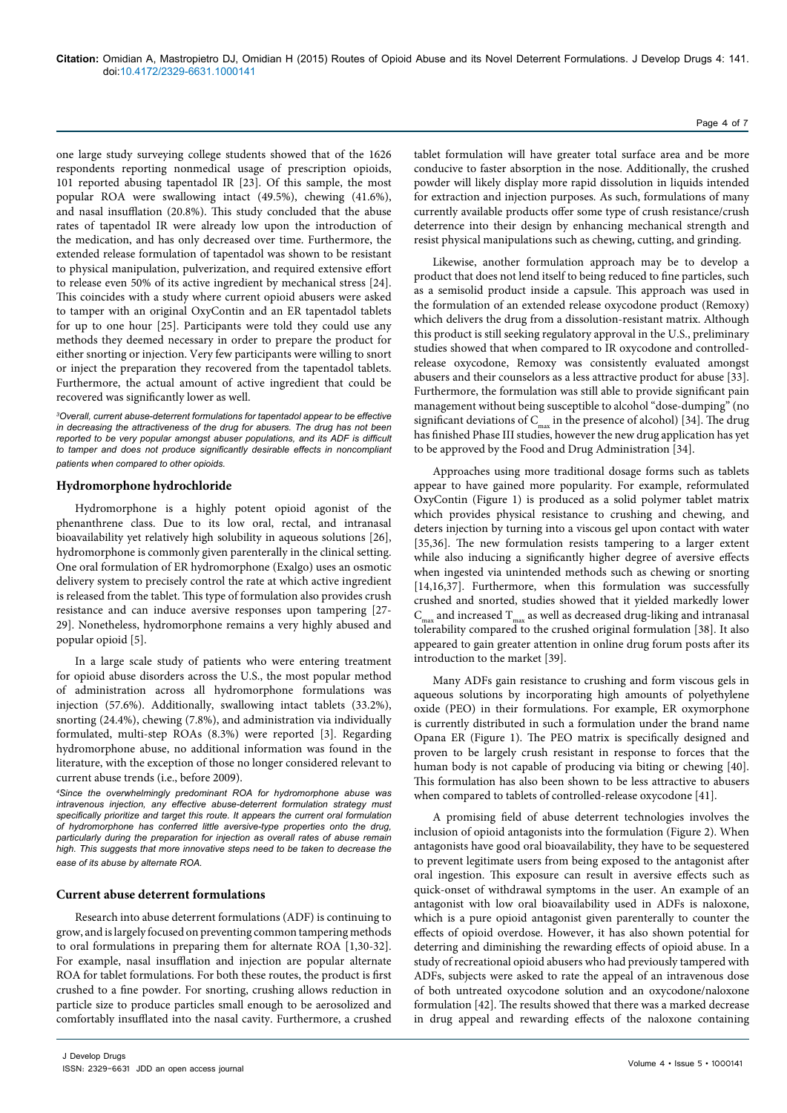one large study surveying college students showed that of the 1626 respondents reporting nonmedical usage of prescription opioids, 101 reported abusing tapentadol IR [23]. Of this sample, the most popular ROA were swallowing intact (49.5%), chewing (41.6%), and nasal insufflation (20.8%). This study concluded that the abuse rates of tapentadol IR were already low upon the introduction of the medication, and has only decreased over time. Furthermore, the extended release formulation of tapentadol was shown to be resistant to physical manipulation, pulverization, and required extensive effort to release even 50% of its active ingredient by mechanical stress [24]. This coincides with a study where current opioid abusers were asked to tamper with an original OxyContin and an ER tapentadol tablets for up to one hour [25]. Participants were told they could use any methods they deemed necessary in order to prepare the product for either snorting or injection. Very few participants were willing to snort or inject the preparation they recovered from the tapentadol tablets. Furthermore, the actual amount of active ingredient that could be recovered was significantly lower as well.

*3 Overall, current abuse-deterrent formulations for tapentadol appear to be effective in decreasing the attractiveness of the drug for abusers. The drug has not been reported to be very popular amongst abuser populations, and its ADF is difficult to tamper and does not produce significantly desirable effects in noncompliant patients when compared to other opioids.*

#### **Hydromorphone hydrochloride**

Hydromorphone is a highly potent opioid agonist of the phenanthrene class. Due to its low oral, rectal, and intranasal bioavailability yet relatively high solubility in aqueous solutions [26], hydromorphone is commonly given parenterally in the clinical setting. One oral formulation of ER hydromorphone (Exalgo) uses an osmotic delivery system to precisely control the rate at which active ingredient is released from the tablet. This type of formulation also provides crush resistance and can induce aversive responses upon tampering [27- 29]. Nonetheless, hydromorphone remains a very highly abused and popular opioid [5].

In a large scale study of patients who were entering treatment for opioid abuse disorders across the U.S., the most popular method of administration across all hydromorphone formulations was injection (57.6%). Additionally, swallowing intact tablets (33.2%), snorting (24.4%), chewing (7.8%), and administration via individually formulated, multi-step ROAs (8.3%) were reported [3]. Regarding hydromorphone abuse, no additional information was found in the literature, with the exception of those no longer considered relevant to current abuse trends (i.e., before 2009).

*4 Since the overwhelmingly predominant ROA for hydromorphone abuse was intravenous injection, any effective abuse-deterrent formulation strategy must specifically prioritize and target this route. It appears the current oral formulation of hydromorphone has conferred little aversive-type properties onto the drug, particularly during the preparation for injection as overall rates of abuse remain high. This suggests that more innovative steps need to be taken to decrease the ease of its abuse by alternate ROA.*

#### **Current abuse deterrent formulations**

Research into abuse deterrent formulations (ADF) is continuing to grow, and is largely focused on preventing common tampering methods to oral formulations in preparing them for alternate ROA [1,30-32]. For example, nasal insufflation and injection are popular alternate ROA for tablet formulations. For both these routes, the product is first crushed to a fine powder. For snorting, crushing allows reduction in particle size to produce particles small enough to be aerosolized and comfortably insufflated into the nasal cavity. Furthermore, a crushed

tablet formulation will have greater total surface area and be more conducive to faster absorption in the nose. Additionally, the crushed powder will likely display more rapid dissolution in liquids intended for extraction and injection purposes. As such, formulations of many currently available products offer some type of crush resistance/crush deterrence into their design by enhancing mechanical strength and resist physical manipulations such as chewing, cutting, and grinding.

Likewise, another formulation approach may be to develop a product that does not lend itself to being reduced to fine particles, such as a semisolid product inside a capsule. This approach was used in the formulation of an extended release oxycodone product (Remoxy) which delivers the drug from a dissolution-resistant matrix. Although this product is still seeking regulatory approval in the U.S., preliminary studies showed that when compared to IR oxycodone and controlledrelease oxycodone, Remoxy was consistently evaluated amongst abusers and their counselors as a less attractive product for abuse [33]. Furthermore, the formulation was still able to provide significant pain management without being susceptible to alcohol "dose-dumping" (no significant deviations of  $C_{\text{max}}$  in the presence of alcohol) [34]. The drug has finished Phase III studies, however the new drug application has yet to be approved by the Food and Drug Administration [34].

Approaches using more traditional dosage forms such as tablets appear to have gained more popularity. For example, reformulated OxyContin (Figure 1) is produced as a solid polymer tablet matrix which provides physical resistance to crushing and chewing, and deters injection by turning into a viscous gel upon contact with water [35,36]. The new formulation resists tampering to a larger extent while also inducing a significantly higher degree of aversive effects when ingested via unintended methods such as chewing or snorting [14,16,37]. Furthermore, when this formulation was successfully crushed and snorted, studies showed that it yielded markedly lower  $\text{C}_{\text{max}}$  and increased  $\text{T}_{\text{max}}$  as well as decreased drug-liking and intranasal tolerability compared to the crushed original formulation [38]. It also appeared to gain greater attention in online drug forum posts after its introduction to the market [39].

Many ADFs gain resistance to crushing and form viscous gels in aqueous solutions by incorporating high amounts of polyethylene oxide (PEO) in their formulations. For example, ER oxymorphone is currently distributed in such a formulation under the brand name Opana ER (Figure 1). The PEO matrix is specifically designed and proven to be largely crush resistant in response to forces that the human body is not capable of producing via biting or chewing [40]. This formulation has also been shown to be less attractive to abusers when compared to tablets of controlled-release oxycodone [41].

A promising field of abuse deterrent technologies involves the inclusion of opioid antagonists into the formulation (Figure 2). When antagonists have good oral bioavailability, they have to be sequestered to prevent legitimate users from being exposed to the antagonist after oral ingestion. This exposure can result in aversive effects such as quick-onset of withdrawal symptoms in the user. An example of an antagonist with low oral bioavailability used in ADFs is naloxone, which is a pure opioid antagonist given parenterally to counter the effects of opioid overdose. However, it has also shown potential for deterring and diminishing the rewarding effects of opioid abuse. In a study of recreational opioid abusers who had previously tampered with ADFs, subjects were asked to rate the appeal of an intravenous dose of both untreated oxycodone solution and an oxycodone/naloxone formulation [42]. The results showed that there was a marked decrease in drug appeal and rewarding effects of the naloxone containing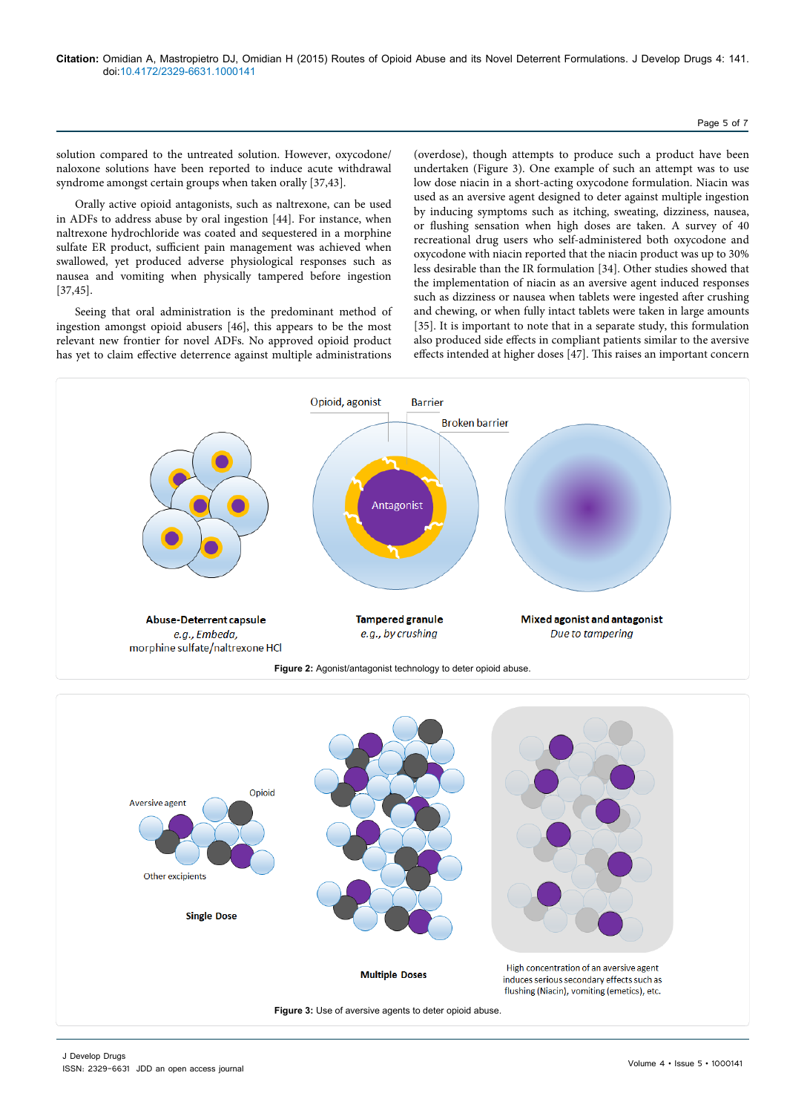#### Page 5 of 7

solution compared to the untreated solution. However, oxycodone/ naloxone solutions have been reported to induce acute withdrawal syndrome amongst certain groups when taken orally [37,43].

Orally active opioid antagonists, such as naltrexone, can be used in ADFs to address abuse by oral ingestion [44]. For instance, when naltrexone hydrochloride was coated and sequestered in a morphine sulfate ER product, sufficient pain management was achieved when swallowed, yet produced adverse physiological responses such as nausea and vomiting when physically tampered before ingestion [37,45].

Seeing that oral administration is the predominant method of ingestion amongst opioid abusers [46], this appears to be the most relevant new frontier for novel ADFs. No approved opioid product has yet to claim effective deterrence against multiple administrations

(overdose), though attempts to produce such a product have been undertaken (Figure 3). One example of such an attempt was to use low dose niacin in a short-acting oxycodone formulation. Niacin was used as an aversive agent designed to deter against multiple ingestion by inducing symptoms such as itching, sweating, dizziness, nausea, or flushing sensation when high doses are taken. A survey of 40 recreational drug users who self-administered both oxycodone and oxycodone with niacin reported that the niacin product was up to 30% less desirable than the IR formulation [34]. Other studies showed that the implementation of niacin as an aversive agent induced responses such as dizziness or nausea when tablets were ingested after crushing and chewing, or when fully intact tablets were taken in large amounts [35]. It is important to note that in a separate study, this formulation also produced side effects in compliant patients similar to the aversive effects intended at higher doses [47]. This raises an important concern



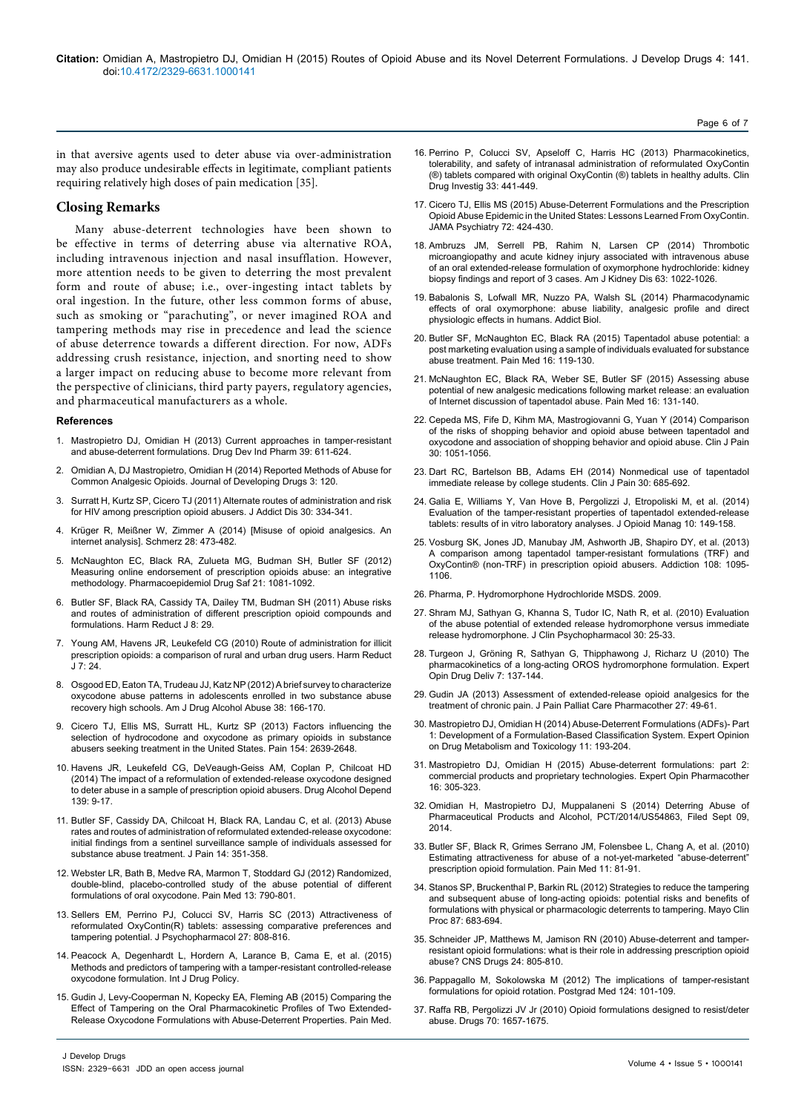in that aversive agents used to deter abuse via over-administration may also produce undesirable effects in legitimate, compliant patients requiring relatively high doses of pain medication [35].

#### **Closing Remarks**

Many abuse-deterrent technologies have been shown to be effective in terms of deterring abuse via alternative ROA, including intravenous injection and nasal insufflation. However, more attention needs to be given to deterring the most prevalent form and route of abuse; i.e., over-ingesting intact tablets by oral ingestion. In the future, other less common forms of abuse, such as smoking or "parachuting", or never imagined ROA and tampering methods may rise in precedence and lead the science of abuse deterrence towards a different direction. For now, ADFs addressing crush resistance, injection, and snorting need to show a larger impact on reducing abuse to become more relevant from the perspective of clinicians, third party payers, regulatory agencies, and pharmaceutical manufacturers as a whole.

#### **References**

- 1. [Mastropietro DJ, Omidian H \(2013\) Current approaches in tamper-resistant](http://www.ncbi.nlm.nih.gov/pubmed/22537282) [and abuse-deterrent formulations. Drug Dev Ind Pharm 39: 611-624.](http://www.ncbi.nlm.nih.gov/pubmed/22537282)
- 2. [Omidian A, DJ Mastropietro, Omidian H \(2014\) Reported Methods of Abuse for](http://www.omicsgroup.org/journals/reported-methods-of-abuse-for-common-prescription-analgesic-opioids-2329-6631.1000120.php?aid=32847) [Common Analgesic Opioids. Journal of Developing Drugs 3: 120.](http://www.omicsgroup.org/journals/reported-methods-of-abuse-for-common-prescription-analgesic-opioids-2329-6631.1000120.php?aid=32847)
- 3. [Surratt H, Kurtz SP, Cicero TJ \(2011\) Alternate routes of administration and risk](http://www.ncbi.nlm.nih.gov/pubmed/22026525) [for HIV among prescription opioid abusers. J Addict Dis 30: 334-341.](http://www.ncbi.nlm.nih.gov/pubmed/22026525)
- 4. [Krüger R, Meißner W, Zimmer A \(2014\) \[Misuse of opioid analgesics. An](http://www.ncbi.nlm.nih.gov/pubmed/25106826) [internet analysis\]. Schmerz 28: 473-482.](http://www.ncbi.nlm.nih.gov/pubmed/25106826)
- 5. [McNaughton EC, Black RA, Zulueta MG, Budman SH, Butler SF \(2012\)](http://www.ncbi.nlm.nih.gov/pubmed/22777908) [Measuring online endorsement of prescription opioids abuse: an integrative](http://www.ncbi.nlm.nih.gov/pubmed/22777908) [methodology. Pharmacoepidemiol Drug Saf 21: 1081-1092.](http://www.ncbi.nlm.nih.gov/pubmed/22777908)
- 6. [Butler SF, Black RA, Cassidy TA, Dailey TM, Budman SH \(2011\) Abuse risks](http://www.ncbi.nlm.nih.gov/pubmed/22011626) [and routes of administration of different prescription opioid compounds and](http://www.ncbi.nlm.nih.gov/pubmed/22011626) [formulations. Harm Reduct J 8: 29.](http://www.ncbi.nlm.nih.gov/pubmed/22011626)
- 7. [Young AM, Havens JR, Leukefeld CG \(2010\) Route of administration for illicit](http://www.ncbi.nlm.nih.gov/pubmed/20950455) [prescription opioids: a comparison of rural and urban drug users. Harm Reduct](http://www.ncbi.nlm.nih.gov/pubmed/20950455) [J 7: 24.](http://www.ncbi.nlm.nih.gov/pubmed/20950455)
- 8. [Osgood ED, Eaton TA, Trudeau JJ, Katz NP \(2012\) A brief survey to characterize](http://www.ncbi.nlm.nih.gov/pubmed/22220502) [oxycodone abuse patterns in adolescents enrolled in two substance abuse](http://www.ncbi.nlm.nih.gov/pubmed/22220502) [recovery high schools. Am J Drug Alcohol Abuse 38: 166-170.](http://www.ncbi.nlm.nih.gov/pubmed/22220502)
- 9. [Cicero TJ, Ellis MS, Surratt HL, Kurtz SP \(2013\) Factors influencing the](http://www.ncbi.nlm.nih.gov/pubmed/24287106) [selection of hydrocodone and oxycodone as primary opioids in substance](http://www.ncbi.nlm.nih.gov/pubmed/24287106) [abusers seeking treatment in the United States. Pain 154: 2639-2648.](http://www.ncbi.nlm.nih.gov/pubmed/24287106)
- 10. [Havens JR, Leukefeld CG, DeVeaugh-Geiss AM, Coplan P, Chilcoat HD](http://www.ncbi.nlm.nih.gov/pubmed/24721614) [\(2014\) The impact of a reformulation of extended-release oxycodone designed](http://www.ncbi.nlm.nih.gov/pubmed/24721614) [to deter abuse in a sample of prescription opioid abusers. Drug Alcohol Depend](http://www.ncbi.nlm.nih.gov/pubmed/24721614) [139: 9-17.](http://www.ncbi.nlm.nih.gov/pubmed/24721614)
- 11. [Butler SF, Cassidy DA, Chilcoat H, Black RA, Landau C, et al. \(2013\) Abuse](http://www.ncbi.nlm.nih.gov/pubmed/23127293) [rates and routes of administration of reformulated extended-release oxycodone:](http://www.ncbi.nlm.nih.gov/pubmed/23127293) [initial findings from a sentinel surveillance sample of individuals assessed for](http://www.ncbi.nlm.nih.gov/pubmed/23127293) [substance abuse treatment. J Pain 14: 351-358.](http://www.ncbi.nlm.nih.gov/pubmed/23127293)
- 12. [Webster LR, Bath B, Medve RA, Marmon T, Stoddard GJ \(2012\) Randomized,](http://www.ncbi.nlm.nih.gov/pubmed/22568663) [double-blind, placebo-controlled study of the abuse potential of different](http://www.ncbi.nlm.nih.gov/pubmed/22568663) [formulations of oral oxycodone. Pain Med 13: 790-801.](http://www.ncbi.nlm.nih.gov/pubmed/22568663)
- 13. [Sellers EM, Perrino PJ, Colucci SV, Harris SC \(2013\) Attractiveness of](http://www.ncbi.nlm.nih.gov/pubmed/23784739) [reformulated OxyContin\(R\) tablets: assessing comparative preferences and](http://www.ncbi.nlm.nih.gov/pubmed/23784739) [tampering potential. J Psychopharmacol 27: 808-816.](http://www.ncbi.nlm.nih.gov/pubmed/23784739)
- 14. [Peacock A, Degenhardt L, Hordern A, Larance B, Cama E, et al. \(2015\)](http://www.ncbi.nlm.nih.gov/pubmed/26123898) [Methods and predictors of tampering with a tamper-resistant controlled-release](http://www.ncbi.nlm.nih.gov/pubmed/26123898) [oxycodone formulation. Int J Drug Policy.](http://www.ncbi.nlm.nih.gov/pubmed/26123898)
- 15. [Gudin J, Levy-Cooperman N, Kopecky EA, Fleming AB \(2015\) Comparing the](http://www.ncbi.nlm.nih.gov/pubmed/26108255) [Effect of Tampering on the Oral Pharmacokinetic Profiles of Two Extended-](http://www.ncbi.nlm.nih.gov/pubmed/26108255)[Release Oxycodone Formulations with Abuse-Deterrent Properties. Pain Med.](http://www.ncbi.nlm.nih.gov/pubmed/26108255)
- 16. [Perrino P, Colucci SV, Apseloff C, Harris HC \(2013\) Pharmacokinetics,](http://www.ncbi.nlm.nih.gov/pubmed/23677743)  [tolerability, and safety of intranasal administration of reformulated OxyContin](http://www.ncbi.nlm.nih.gov/pubmed/23677743)  [\(®\) tablets compared with original OxyContin \(®\) tablets in healthy adults. Clin](http://www.ncbi.nlm.nih.gov/pubmed/23677743)  [Drug Investig 33: 441-449.](http://www.ncbi.nlm.nih.gov/pubmed/23677743)
- 17. [Cicero TJ, Ellis MS \(2015\) Abuse-Deterrent Formulations and the Prescription](http://www.ncbi.nlm.nih.gov/pubmed/25760692)  [Opioid Abuse Epidemic in the United States: Lessons Learned From OxyContin.](http://www.ncbi.nlm.nih.gov/pubmed/25760692)  [JAMA Psychiatry 72: 424-430.](http://www.ncbi.nlm.nih.gov/pubmed/25760692)
- 18. [Ambruzs JM, Serrell PB, Rahim N, Larsen CP \(2014\) Thrombotic](http://www.ncbi.nlm.nih.gov/pubmed/24529995)  microangiopathy and acute kidney injury associated with intravenous abuse [of an oral extended-release formulation of oxymorphone hydrochloride: kidney](http://www.ncbi.nlm.nih.gov/pubmed/24529995)  [biopsy findings and report of 3 cases. Am J Kidney Dis 63: 1022-1026.](http://www.ncbi.nlm.nih.gov/pubmed/24529995)
- 19. [Babalonis S, Lofwall MR, Nuzzo PA, Walsh SL \(2014\) Pharmacodynamic](http://www.ncbi.nlm.nih.gov/pubmed/25130052)  [effects of oral oxymorphone: abuse liability, analgesic profile and direct](http://www.ncbi.nlm.nih.gov/pubmed/25130052)  [physiologic effects in humans. Addict Biol.](http://www.ncbi.nlm.nih.gov/pubmed/25130052)
- 20. [Butler SF, McNaughton EC, Black RA \(2015\) Tapentadol abuse potential: a](http://www.ncbi.nlm.nih.gov/pubmed/25243972)  [post marketing evaluation using a sample of individuals evaluated for substance](http://www.ncbi.nlm.nih.gov/pubmed/25243972)  [abuse treatment. Pain Med 16: 119-130.](http://www.ncbi.nlm.nih.gov/pubmed/25243972)
- 21. [McNaughton EC, Black RA, Weber SE, Butler SF \(2015\) Assessing abuse](http://www.ncbi.nlm.nih.gov/pubmed/25244069)  [potential of new analgesic medications following market release: an evaluation](http://www.ncbi.nlm.nih.gov/pubmed/25244069)  [of Internet discussion of tapentadol abuse. Pain Med 16: 131-140.](http://www.ncbi.nlm.nih.gov/pubmed/25244069)
- 22. [Cepeda MS, Fife D, Kihm MA, Mastrogiovanni G, Yuan Y \(2014\) Comparison](http://www.ncbi.nlm.nih.gov/pubmed/24370606)  [of the risks of shopping behavior and opioid abuse between tapentadol and](http://www.ncbi.nlm.nih.gov/pubmed/24370606)  [oxycodone and association of shopping behavior and opioid abuse. Clin J Pain](http://www.ncbi.nlm.nih.gov/pubmed/24370606)  [30: 1051-1056.](http://www.ncbi.nlm.nih.gov/pubmed/24370606)
- 23. [Dart RC, Bartelson BB, Adams EH \(2014\) Nonmedical use of tapentadol](http://www.ncbi.nlm.nih.gov/pubmed/24042351)  [immediate release by college students. Clin J Pain 30: 685-692.](http://www.ncbi.nlm.nih.gov/pubmed/24042351)
- 24. [Galia E, Williams Y, Van Hove B, Pergolizzi J, Etropoliski M, et al. \(2014\)](http://www.ncbi.nlm.nih.gov/pubmed/24944065)  [Evaluation of the tamper-resistant properties of tapentadol extended-release](http://www.ncbi.nlm.nih.gov/pubmed/24944065)  [tablets: results of in vitro laboratory analyses. J Opioid Manag 10: 149-158.](http://www.ncbi.nlm.nih.gov/pubmed/24944065)
- 25. [Vosburg SK, Jones JD, Manubay JM, Ashworth JB, Shapiro DY, et al. \(2013\)](http://www.ncbi.nlm.nih.gov/pubmed/23316699)  [A comparison among tapentadol tamper-resistant formulations \(TRF\) and](http://www.ncbi.nlm.nih.gov/pubmed/23316699)  [OxyContin® \(non-TRF\) in prescription opioid abusers. Addiction 108: 1095-](http://www.ncbi.nlm.nih.gov/pubmed/23316699) [1106.](http://www.ncbi.nlm.nih.gov/pubmed/23316699)
- 26. Pharma, P. Hydromorphone Hydrochloride MSDS. 2009.
- 27. [Shram MJ, Sathyan G, Khanna S, Tudor IC, Nath R, et al. \(2010\) Evaluation](http://www.ncbi.nlm.nih.gov/pubmed/20075644)  [of the abuse potential of extended release hydromorphone versus immediate](http://www.ncbi.nlm.nih.gov/pubmed/20075644)  [release hydromorphone. J Clin Psychopharmacol 30: 25-33.](http://www.ncbi.nlm.nih.gov/pubmed/20075644)
- 28. [Turgeon J, Gröning R, Sathyan G, Thipphawong J, Richarz U \(2010\) The](http://www.ncbi.nlm.nih.gov/pubmed/19961358)  [pharmacokinetics of a long-acting OROS hydromorphone formulation. Expert](http://www.ncbi.nlm.nih.gov/pubmed/19961358)  [Opin Drug Deliv 7: 137-144.](http://www.ncbi.nlm.nih.gov/pubmed/19961358)
- 29. [Gudin JA \(2013\) Assessment of extended-release opioid analgesics for the](http://www.ncbi.nlm.nih.gov/pubmed/23527669)  [treatment of chronic pain. J Pain Palliat Care Pharmacother 27: 49-61.](http://www.ncbi.nlm.nih.gov/pubmed/23527669)
- 30. [Mastropietro DJ, Omidian H \(2014\) Abuse-Deterrent Formulations \(ADFs\)- Part](http://www.ncbi.nlm.nih.gov/pubmed/25374404)  [1: Development of a Formulation-Based Classification System. Expert Opinion](http://www.ncbi.nlm.nih.gov/pubmed/25374404)  [on Drug Metabolism and Toxicology 11: 193-204.](http://www.ncbi.nlm.nih.gov/pubmed/25374404)
- 31. [Mastropietro DJ, Omidian H \(2015\) Abuse-deterrent formulations: part 2:](http://www.ncbi.nlm.nih.gov/pubmed/25421961)  [commercial products and proprietary technologies. Expert Opin Pharmacother](http://www.ncbi.nlm.nih.gov/pubmed/25421961)  [16: 305-323.](http://www.ncbi.nlm.nih.gov/pubmed/25421961)
- 32. [Omidian H, Mastropietro DJ, Muppalaneni S \(2014\) Deterring Abuse of](https://patentscope.wipo.int/search/en/detail.jsf?docId=WO2015035423&recNum=4&docAn=US2014054863&queryString=cannabis&maxRec=10625)  [Pharmaceutical Products and Alcohol, PCT/2014/US54863, Filed Sept 09,](https://patentscope.wipo.int/search/en/detail.jsf?docId=WO2015035423&recNum=4&docAn=US2014054863&queryString=cannabis&maxRec=10625)  [2014](https://patentscope.wipo.int/search/en/detail.jsf?docId=WO2015035423&recNum=4&docAn=US2014054863&queryString=cannabis&maxRec=10625).
- 33. [Butler SF, Black R, Grimes Serrano JM, Folensbee L, Chang A, et al. \(2010\)](http://www.ncbi.nlm.nih.gov/pubmed/20002324)  [Estimating attractiveness for abuse of a not-yet-marketed "abuse-deterrent"](http://www.ncbi.nlm.nih.gov/pubmed/20002324)  [prescription opioid formulation. Pain Med 11: 81-91.](http://www.ncbi.nlm.nih.gov/pubmed/20002324)
- 34. [Stanos SP, Bruckenthal P, Barkin RL \(2012\) Strategies to reduce the tampering](http://www.ncbi.nlm.nih.gov/pubmed/22766088)  [and subsequent abuse of long-acting opioids: potential risks and benefits of](http://www.ncbi.nlm.nih.gov/pubmed/22766088)  [formulations with physical or pharmacologic deterrents to tampering. Mayo Clin](http://www.ncbi.nlm.nih.gov/pubmed/22766088)  [Proc 87: 683-694.](http://www.ncbi.nlm.nih.gov/pubmed/22766088)
- 35. [Schneider JP, Matthews M, Jamison RN \(2010\) Abuse-deterrent and tamper](http://www.ncbi.nlm.nih.gov/pubmed/20839893)[resistant opioid formulations: what is their role in addressing prescription opioid](http://www.ncbi.nlm.nih.gov/pubmed/20839893)  [abuse? CNS Drugs 24: 805-810.](http://www.ncbi.nlm.nih.gov/pubmed/20839893)
- 36. [Pappagallo M, Sokolowska M \(2012\) The implications of tamper-resistant](http://www.ncbi.nlm.nih.gov/pubmed/23095430)  [formulations for opioid rotation. Postgrad Med 124: 101-109.](http://www.ncbi.nlm.nih.gov/pubmed/23095430)
- 37. [Raffa RB, Pergolizzi JV Jr \(2010\) Opioid formulations designed to resist/deter](http://www.ncbi.nlm.nih.gov/pubmed/20731474)  [abuse. Drugs 70: 1657-1675.](http://www.ncbi.nlm.nih.gov/pubmed/20731474)